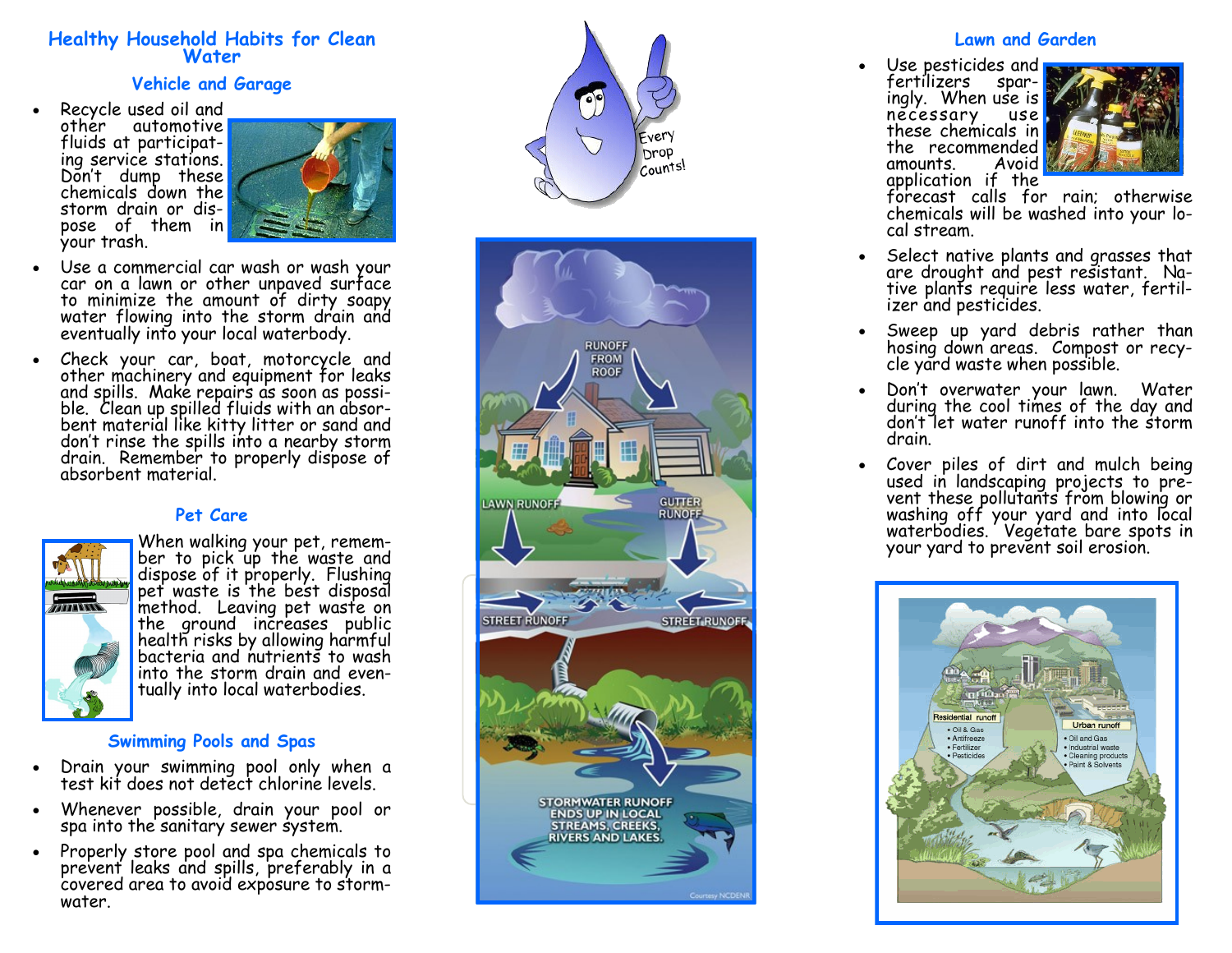### **Healthy Household Habits for Clean Water**

#### **Vehicle and Garage**

 Recycle used oil and other automotive fluids at participating service stations. Don't dump these chemicals down the storm drain or dispose of them in your trash.



- Use a commercial car wash or wash your car on a lawn or other unpaved surface to minimize the amount of dirty soapy water flowing into the storm drain and eventually into your local waterbody.
- Check your car, boat, motorcycle and other machinery and equipment for leaks and spills. Make repairs as soon as possible. Clean up spilled fluids with an absorbent material like kitty litter or sand and don't rinse the spills into a nearby storm drain. Remember to properly dispose of absorbent material.

## **Pet Care**



When walking your pet, remember to pick up the waste and dispose of it properly. Flushing pet waste is the best disposal method. Leaving pet waste on the ground increases public health risks by allowing harmful bacteria and nutrients to wash into the storm drain and eventually into local waterbodies.

#### **Swimming Pools and Spas**

- Drain your swimming pool only when a test kit does not detect chlorine levels.
- Whenever possible, drain your pool or spa into the sanitary sewer system.
- Properly store pool and spa chemicals to prevent leaks and spills, preferably in a covered area to avoid exposure to stormwater.





#### **Lawn and Garden**

 Use pesticides and fertilizers ingly. When use is **fo**<br>necessary use necessary these chemicals in the recommended amounts. Avoid application if the



forecast calls for rain; otherwise chemicals will be washed into your local stream.

- Select native plants and grasses that are drought and pest resistant. Native plants require less water, fertilizer and pesticides.
- Sweep up yard debris rather than hosing down areas. Compost or recycle yard waste when possible.
- Don't overwater your lawn. Water during the cool times of the day and don't let water runoff into the storm drain.
- Cover piles of dirt and mulch being used in landscaping projects to prevent these pollutants from blowing or washing off your yard and into local waterbodies. Vegetate bare spots in your yard to prevent soil erosion.